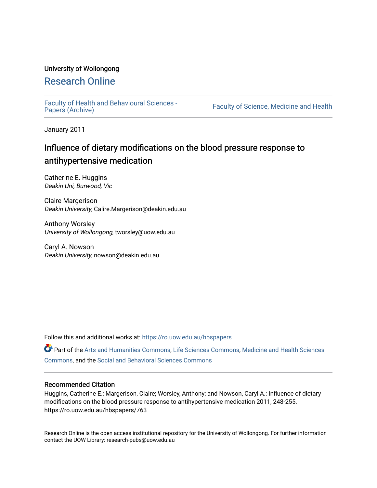# University of Wollongong

# [Research Online](https://ro.uow.edu.au/)

[Faculty of Health and Behavioural Sciences -](https://ro.uow.edu.au/hbspapers)<br>Papers (Archive)

Faculty of Science, Medicine and Health

January 2011

# Influence of dietary modifications on the blood pressure response to antihypertensive medication

Catherine E. Huggins Deakin Uni, Burwood, Vic

Claire Margerison Deakin University, Calire.Margerison@deakin.edu.au

Anthony Worsley University of Wollongong, tworsley@uow.edu.au

Caryl A. Nowson Deakin University, nowson@deakin.edu.au

Follow this and additional works at: [https://ro.uow.edu.au/hbspapers](https://ro.uow.edu.au/hbspapers?utm_source=ro.uow.edu.au%2Fhbspapers%2F763&utm_medium=PDF&utm_campaign=PDFCoverPages) 

Part of the [Arts and Humanities Commons,](http://network.bepress.com/hgg/discipline/438?utm_source=ro.uow.edu.au%2Fhbspapers%2F763&utm_medium=PDF&utm_campaign=PDFCoverPages) [Life Sciences Commons,](http://network.bepress.com/hgg/discipline/1016?utm_source=ro.uow.edu.au%2Fhbspapers%2F763&utm_medium=PDF&utm_campaign=PDFCoverPages) [Medicine and Health Sciences](http://network.bepress.com/hgg/discipline/648?utm_source=ro.uow.edu.au%2Fhbspapers%2F763&utm_medium=PDF&utm_campaign=PDFCoverPages) [Commons](http://network.bepress.com/hgg/discipline/648?utm_source=ro.uow.edu.au%2Fhbspapers%2F763&utm_medium=PDF&utm_campaign=PDFCoverPages), and the [Social and Behavioral Sciences Commons](http://network.bepress.com/hgg/discipline/316?utm_source=ro.uow.edu.au%2Fhbspapers%2F763&utm_medium=PDF&utm_campaign=PDFCoverPages)

# Recommended Citation

Huggins, Catherine E.; Margerison, Claire; Worsley, Anthony; and Nowson, Caryl A.: Influence of dietary modifications on the blood pressure response to antihypertensive medication 2011, 248-255. https://ro.uow.edu.au/hbspapers/763

Research Online is the open access institutional repository for the University of Wollongong. For further information contact the UOW Library: research-pubs@uow.edu.au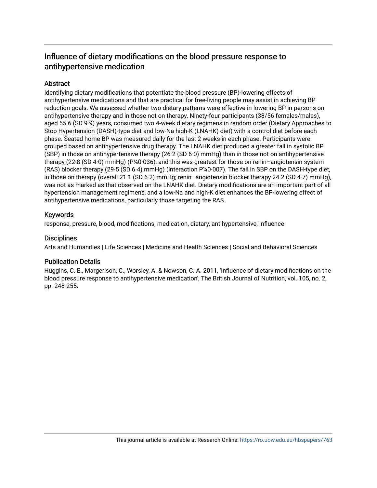# Influence of dietary modifications on the blood pressure response to antihypertensive medication

# **Abstract**

Identifying dietary modifications that potentiate the blood pressure (BP)-lowering effects of antihypertensive medications and that are practical for free-living people may assist in achieving BP reduction goals. We assessed whether two dietary patterns were effective in lowering BP in persons on antihypertensive therapy and in those not on therapy. Ninety-four participants (38/56 females/males), aged 55·6 (SD 9·9) years, consumed two 4-week dietary regimens in random order (Dietary Approaches to Stop Hypertension (DASH)-type diet and low-Na high-K (LNAHK) diet) with a control diet before each phase. Seated home BP was measured daily for the last 2 weeks in each phase. Participants were grouped based on antihypertensive drug therapy. The LNAHK diet produced a greater fall in systolic BP (SBP) in those on antihypertensive therapy (26·2 (SD 6·0) mmHg) than in those not on antihypertensive therapy (22·8 (SD 4·0) mmHg) (P¼0·036), and this was greatest for those on renin–angiotensin system (RAS) blocker therapy (29·5 (SD 6·4) mmHg) (interaction P¼0·007). The fall in SBP on the DASH-type diet, in those on therapy (overall 21·1 (SD 6·2) mmHg; renin–angiotensin blocker therapy 24·2 (SD 4·7) mmHg), was not as marked as that observed on the LNAHK diet. Dietary modifications are an important part of all hypertension management regimens, and a low-Na and high-K diet enhances the BP-lowering effect of antihypertensive medications, particularly those targeting the RAS.

# Keywords

response, pressure, blood, modifications, medication, dietary, antihypertensive, influence

# **Disciplines**

Arts and Humanities | Life Sciences | Medicine and Health Sciences | Social and Behavioral Sciences

# Publication Details

Huggins, C. E., Margerison, C., Worsley, A. & Nowson, C. A. 2011, 'Influence of dietary modifications on the blood pressure response to antihypertensive medication', The British Journal of Nutrition, vol. 105, no. 2, pp. 248-255.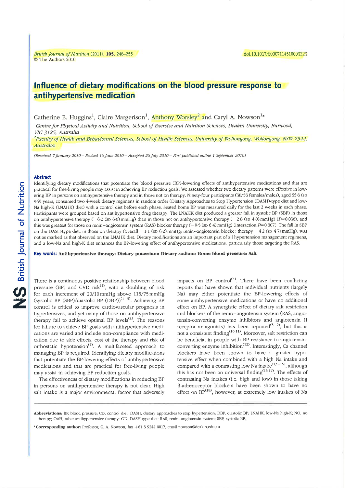# Influence of dietary modifications on the blood pressure response to antihypertensive medication

Catherine E. Huggins<sup>1</sup>, Claire Margerison<sup>1</sup>, Anthony Worsley<sup>2</sup> and Caryl A. Nowson<sup>1</sup>\*

<sup>1</sup>Centre for Physical Activity and Nutrition, School of Exercise and Nutrition Sciences, Deakin University, Burwood, VIC 3125, Australia

<sup>2</sup>Faculty of Health and Behavioural Sciences, School of Health Sciences, University of Wollongong, Wollongong, NSW 2522, Australia

(Received 7 January 2010 - Revised 16 June 2010 - Accepted 26 July 2010 - First published online 1 September 2010)

#### Abstract

Identifying dietary modifications that potentiate the blood pressure (BP)-lowering effects of antihypertensive medications and that are practical for free-living people may assist in achieving BP reduction goals. We assessed whether two dietary patterns were effective in lowering BP in persons on antihypertensive therapy and in those not on therapy. Ninety-four participants (38/56 females/males), aged 55-6 (sp 9.9) years, consumed two 4-week dietary regimens in random order (Dietary Approaches to Stop Hypertension (DASH)-type diet and low-Na high-K (LNAHK) diet) with a control diet before each phase. Seated home BP was measured daily for the last 2 weeks in each phase, Participants were grouped based on antihypertensive drug therapy. The LNAHK diet produced a greater fall in systolic BP (SBP) in those on antihypertensive therapy ( $-6.2$  (sp 6.0) mmHg) than in those not on antihypertensive therapy ( $-2.8$  (sp 4.0) mmHg) ( $P=0.036$ ), and this was greatest for those on renin-angiotensin system (RAS) blocker therapy (-9.5 (sp 6.4) mmHg) (interaction P=0.007). The fall in SBP on the DASH-type diet, in those on therapy (overall  $-1.1$  (sp 6.2) mmHg; renin-angiotensin blocker therapy  $-4.2$  (sp 4.7) mmHg), was not as marked as that observed on the LNAHK diet. Dietary modifications are an important part of all hypertension management regimens, and a low-Na and high-K diet enhances the BP-lowering effect of antihypertensive medications, particularly those targeting the RAS.

Key words: Antihypertensive therapy: Dietary potassium: Dietary sodium: Home blood pressure: Salt

There is a continuous positive relationship between blood pressure (BP) and CVD risk<sup>(1)</sup>, with a doubling of risk for each increment of 20/10 mmHg above 115/75 mmHg (systolic BP (SBP)/diastolic BP (DBP))<sup>(1-3)</sup>. Achieving BP control is critical to improve cardiovascular prognosis in hypertensives, and yet many of those on antihypertensive therapy fail to achieve optimal BP levels<sup>(2)</sup>. The reasons for failure to achieve BP goals with antihypertensive medications are varied and include non-compliance with medication due to side effects, cost of the therapy and risk of orthostatic hypotension<sup>(2)</sup> A multifaceted approach to managing BP is required. Identifying dietary modifications that potentiate the BP-lowering effects of antihypertensive medications and that are practical for free-living people may assist in achieving BP reduction goals.

The effectiveness of dietary modifications in reducing BP in persons on antihypertensive therapy is not clear. High salt intake is a major environmental factor that adversely impacts on BP control<sup>(4)</sup>. There have been conflicting reports that have shown that individual nutrients (largely Na) may either potentiate the BP-lowering effects of some antihypertensive medications or have no additional effect on BP. A synergistic effect of dietary salt restriction and blockers of the renin-angiotensin system (RAS, angiotensin-converting enzyme inhibitors and angiotensin II receptor antagonists) has been reported<sup>(5-9)</sup>, but this is not a consistent finding<sup>(10,11)</sup>. Moreover, salt restriction can be beneficial in people with BP resistance to angiotensinconverting enzyme inhibition<sup>(12)</sup>. Interestingly, Ca channel blockers have been shown to have a greater hypotensive effect when combined with a high Na intake and compared with a contrasting low Na intake<sup>(13-15)</sup>, although this has not been an universal finding<sup>(16,17)</sup>. The effects of contrasting Na intakes (i.e. high and low) in those taking β-adrenoceptor blockers have been shown to have no effect on BP<sup>(18)</sup>; however, at extremely low intakes of Na

Abbreviations: BP, blood pressure; CD, control diet; DASH, dietary approaches to stop hypertension; DBP, diastolic BP; LNAHK, low-Na high-K; NO, no therapy; OAH, other antihypertensive therapy; OD, DASH-type diet; RAS, renin-angiotensin system; SBP, systolic BP,

\*Corresponding author: Professor, C. A. Nowson, fax +61 3 9244 6017, email nowson@deakin.edu.au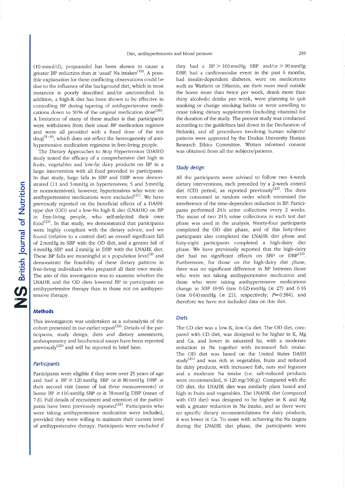(10 mmol/d), propranolol has been shown to cause a greater BP reduction than at 'usual' Na intakes<sup>(19)</sup>. A possible explanation for these conflicting observations could be due to the influence of the background diet, which in most instances is poorly described and/or uncontrolled. In addition, a high-K diet has been shown to be effective in controlling BP during tapering of antihypertensive medications down to 50% of the original medication dose<sup>(20)</sup>. A limitation of many of these studies is that participants were withdrawn from their usual BP medication regimen and were all provided with a fixed dose of the test  $\frac{d \text{rug}}{(5-9)}$ , which does not reflect the heterogeneity of antihypertensive medication regimens in free-living people.

The Dietary Approaches to Stop Hypertension (DASH) study tested the efficacy of a comprehensive diet high in fruits, vegetables and low-fat dairy products on BP in a large intervention with all food provided to participants. In that study, large falls in SBP and DBP were demonstrated (11 and 5 mmHg in hypertensives; 5 and 3 mmHg in normotensives); however, hypertensives who were on antihypertensive medications were excluded<sup> $(21)$ </sup>. We have previously reported on the beneficial effects of a DASHtype diet (OD) and a low-Na high-K diet (LNAHK) on BP in free-living people, who self-selected their own  $\text{food}^{(22)}$ . In that study, we demonstrated that participants were highly compliant with the dietary advice, and we found (relative to a control diet) an overall significant fall of 2 mmHg in SBP with the OD diet, and a greater fall of 4mmHg SBP and 2mmHg in DBP with the LNAHK diet. These BP falls are meaningful at a population level<sup>(2)</sup> and demonstrate the feasibility of these dietary patterns in free-living individuals who prepared all their own meals. The aim of this investigation was to examine whether the LNAHK and the OD diets lowered BP in participants on antihypertensive therapy than in those not on antihypertensive therapy.

## **Methods**

This investigation was undertaken as a subanalysis of the cohort presented in our earlier report<sup>(22)</sup>. Details of the participants, study design, diets and dietary assessment, anthropometry and biochemical assays have been reported previously<sup>(22)</sup> and will be reported in brief here.

## Participants

Participants were eligible if they were over 25 years of age and had a BP  $\geq$  120 mmHg SBP or  $\geq$  80 mmHg DBP at their second visit (mean of last three measurements) or home BP  $\geq$  116 mmHg SBP or  $\geq$  78 mmHg DBP (mean of 7d). Full details of recruitment and retention of the participants have been previously reported<sup>(22)</sup>. Participants who were taking antihypertensive medication were included, provided they were willing to maintain their current level of antihypertensive therapy. Participants were excluded if they had a  $BP > 160$  mmHg SBP and/or  $> 90$  mmHg DBP, had a cardiovascular event in the past 6 months, had insulin-dependent diabetes, were on medications such as Warfarin or Dilantin, ate their main meal outside the home more than twice per week, drank more than thirty alcoholic drinks per week, were planning to quit smoking or change smoking habits or were unwilling to cease taking dietary supplements (including vitamins) for the duration of the study. The present study was conducted according to the guidelines laid down in the Declaration of Helsinki, and all procedures involving human subjects/ patients were approved by the Deakin University Human Research Ethics Committee. Written informed consent was obtained from all the subjects/patients.

#### Study design

All the participants were advised to follow two 4-week dietary interventions, each preceded by a 2-week control diet (CD) period, as reported previously<sup>(22)</sup>. The diets were consumed in random order which minimised the interference of the time-dependent reduction in BP. Participants performed 24h urine collections every 2 weeks. The mean of two 24h urine collections in each test diet phase was used in the analysis. Ninety-four participants completed the OD diet phase, and of this forty-three participants also completed the LNAHK diet phase and forty-eight participants completed a high-dairy diet phase. We have previously reported that the high-dairy diet had no significant effects on SBP or DBP<sup>(22)</sup>. Furthermore, for those on the high-dairy diet phase, there was no significant difference in BP between those who were not taking antihypertensive medication and those who were taking antihypertensive medications change in SBP (0.96 (SEM 0.62) mmHg  $(n 27)$  and 0.16 (SEM 0.64) mmHg  $(n \ 21)$ , respectively;  $P=0.384$ ), and therefore we have not included data on this diet.

## **Diets**

The CD diet was a low-K, low-Ca diet. The OD diet, compared with CD diet, was designed to be higher in K, Mg and Ca, and lower in saturated fat, with a moderate reduction in Na together with increased fish intake. The OD diet was based on the United States DASH study<sup>(21)</sup> and was rich in vegetables, fruits and reduced fat dairy products, with increased fish, nuts and legumes and a moderate Na intake (i.e. salt-reduced products were recommended,  $\leq 120 \,\text{mg}/100 \,\text{g}$ ). Compared with the OD diet, the LNAHK diet was similarly plant based and high in fruits and vegetables. The LNAHK diet (compared with OD diet) was designed to be higher in K and Mg with a greater reduction in Na intake, and as there were no specific dietary recommendations for dairy products, it was lower in Ca. To assist with achieving the Na targets during the LNAHK diet phase, the participants were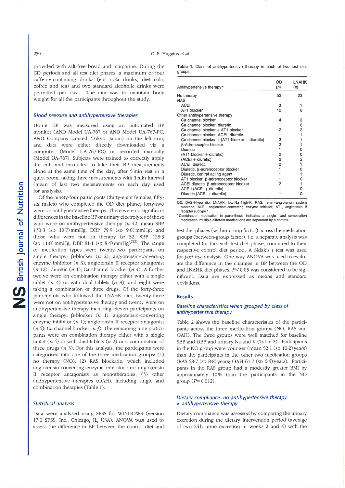provided with salt-free bread and margarine. During the CD periods and all test diet phases, a maximum of four caffeine-containing drinks (e.g. cola drinks, diet cola, coffee and tea) and two standard alcoholic drinks were The aim was to maintain body permitted per day. weight for all the participants throughout the study.

### Blood pressure and antihypertensive therapies

Home BP was measured using an automated BP monitor (AND Model UA-767 or AND Model UA-767-PC, A&D Company Limited, Tokyo, Japan) on the left arm, and data were either directly downloaded via a computer (Model UA-767-PC) or recorded manually (Model UA-767). Subjects were trained to correctly apply the cuff and instructed to take their BP measurements alone at the same time of the day, after 5 min rest in a quiet room, taking three measurements with 1 min interval (mean of last two measurements on each day used for analysis).

Of the ninety-four participants (thirty-eight females, fiftysix males) who completed the OD diet phase, forty-two were on antihypertensive therapy. There were no significant differences in the baseline BP or urinary electrolytes of those who were on antihypertensive therapy  $(n$  42, mean SBP 130.8 (sp 10.7) mmHg; DBP 79.9 (sp 9.0) mmHg) and those who were not on therapy  $(n 52, SBP 128.3)$ (sp 11.8) mmHg; DBP 81.1 (sp  $8.4$ ) mmHg)<sup>(22)</sup>. The range of medication types were twenty-two participants on single therapy:  $\beta$ -blocker (*n* 2); angiotensin-converting enzyme inhibitor  $(n 3)$ ; angiotensin II receptor antagonist  $(n 12)$ ; diuretic  $(n 1)$ ; Ca channel blocker  $(n 4)$ . A further twelve were on combination therapy either with a single tablet  $(n\ 4)$  or with dual tablets  $(n\ 8)$ , and eight were taking a combination of three drugs. Of the forty-three participants who followed the LNAHK diet, twenty-three were not on antihypertensive therapy and twenty were on antihypertensive therapy including eleven participants on single therapy:  $\beta$ -blocker (n 1); angiotensin-converting enzyme inhibitor  $(n 1)$ ; angiotensin II receptor antagonist  $(n 6)$ ; Ca channel blocker  $(n 3)$ . The remaining nine participants were on combination therapy either with a single tablet  $(n 4)$  or with dual tablets  $(n 2)$  or a combination of three drugs  $(n, 3)$ . For this analysis, the participants were categorised into one of the three medication groups: (1) no therapy (NO); (2) RAS blockade, which included angiotensin-converting enzyme inhibitor and angiotensin II receptor antagonists as monotherapies; (3) other antihypertensive therapies (OAH), including single and combination therapies (Table 1).

#### Statistical analysis

Data were analysed using SPSS for WINDOWS (version 17.0 SPSS, Inc., Chicago, IL, USA). ANOVA was used to assess the difference in BP between the control diet and

Table 1. Class of antihypertensive therapy in each of two test diet groups

| Antihypertensive therapy *                        | OD<br>(п) | LNAHK<br>(п) |
|---------------------------------------------------|-----------|--------------|
| No therapy                                        | 52        | 23           |
| <b>RAS</b>                                        |           |              |
| <b>ACEI</b>                                       | 3         |              |
| AT1 blocker                                       | 12        | 6            |
| Other antihypertensive therapy                    |           |              |
| Ca channel blocker                                | 4         | з            |
| Ca channel blocker, diuretic                      |           | 0            |
| Ca channel blocker + AT1 blocker                  | 2         | 2            |
| Ca channel blocker, ACEI, diuretic                |           |              |
| Ca channel blocker $+$ (AT1 blocker $+$ diuretic) | 3         |              |
| <b>B-Adrenoceptor blocker</b>                     | 2         |              |
| <b>Diuretic</b>                                   | 1         | 0            |
| (AT1 blocker + diuretic)                          | 2         | 0            |
| $(ACEI + diuretic)$                               | 2         | 2            |
| ACEI, diuretic                                    | 2         |              |
| Diuretic, B-adrenoceptor blocker                  |           | 0            |
| Diuretic, central acting agent                    |           |              |
| AT1 blocker, B-adrenoceptor blocker               |           | 0            |
| ACEI diuretic, β-adrenoceptor blocker             | 2         |              |
| ACE-I (ACEI + diuretic)                           |           | 0            |
| Diuretic $(ACEI + diuretic)$                      |           | 0            |

OD, DASH-type die; LNAHK, low-Na high-K; RAS, renin-angiotensin system blockade; ACEI, angiotensin-converting enzyme inhibitor; AT1, angiotensin II receptor subtype 1.

\*Combination medication in parenthesis indicates a single fixed combination medication; multiple different medications are separated by a comma

test diet phases (within-group factor) across the medication groups (between-group factor), i.e. a separate analysis was completed for the each test diet phase, compared to their respective control diet period. A Sidak's t test was used for post hoc analysis. One-way ANOVA was used to evaluate the difference in the changes in BP between the OD and LNAHK diet phases. P<0.05 was considered to be significant. Data are expressed as means and standard deviations.

#### **Results**

### Baseline characteristics when grouped by class of antihypertensive therapy

Table 2 shows the baseline characteristics of the participants across the three medication groups (NO, RAS and OAH). The three groups were well matched for baseline SBP and DBP and urinary Na and K (Table 2). Participants in the NO group were younger (mean 52.1 (sp 10.2) years) than the participants in the other two medication groups (RAS 58.7 (SD 8.8) years; OAH 61.7 (SD 6.4) years). Participants in the RAS group had a modestly greater BMI by approximately 10% than the participants in the NO group ( $P = 0.012$ ).

## Dietary compliance: no antihypertensive therapy v. antihypertensive therapy

Dietary compliance was assessed by comparing the urinary excretion during the dietary intervention period (average of two 24h urine excretion in weeks 2 and 4) with the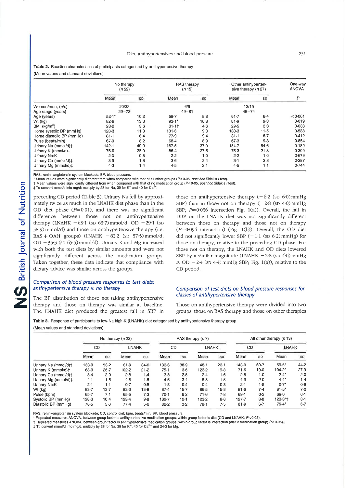|  |                                       |  | Table 2. Baseline characteristics of participants categorised by antihypertensive therapy |  |
|--|---------------------------------------|--|-------------------------------------------------------------------------------------------|--|
|  | (Mean values and standard deviations) |  |                                                                                           |  |

|                          | No therapy<br>(n 52) |        | RAS therapy<br>(n 15) |        | Other antihyperten-<br>sive therapy (n 27) | One-way<br><b>ANOVA</b> |         |
|--------------------------|----------------------|--------|-----------------------|--------|--------------------------------------------|-------------------------|---------|
|                          | Mean                 | SD     | Mean                  | SD     | Mean                                       | SD                      | P       |
| Women/men, (n/n)         | 20/32                |        | 6/9                   |        | 12/15                                      |                         |         |
| Age range (years)        | $29 - 72$            |        | $49 - 81$             |        | $48 - 74$                                  |                         |         |
| Age (years)              | $52.1*$              | 10.2   | 58.7                  | $8-8$  | $61 - 7$                                   | 6.4                     | < 0.001 |
| Wt (kg)                  | $82 - 6$             | $13-3$ | $93.1*$               | $16-8$ | 81.9                                       | 9.3                     | 0.019   |
| BMI $(kq/m2)$            | 28.2                 | $3-6$  | 31.1                  | $4-6$  | 29.5                                       | 3.3                     | 0.033   |
| Home systolic BP (mmHg)  | 128.3                | $11-8$ | 131.6                 | 9.3    | 130.3                                      | $11-5$                  | 0.538   |
| Home diastolic BP (mmHg) | $81-1$               | 8.4    | 77.9                  | 9.4    | $81-1$                                     | 8.7                     | 0.412   |
| Pulse (beats/min)        | 67.0                 | 8.2    | 68.4                  | 8.9    | 67.3                                       | 9.3                     | 0.854   |
| Urinary Na (mmol/d)‡     | 142.1                | 49.9   | 167.5                 | 37.0   | 154.7                                      | 54.6                    | 0.189   |
| Urinary K (mmol/d)‡      | 76.0                 | 25.0   | 86-4                  | 27.5   | 75-3                                       | 21.3                    | 0.309   |
| Urinary Na:K             | $2-0$                | 0.8    | 2.2                   | 1.0    | 2.2                                        | 1.0                     | 0.679   |
| Urinary Ca (mmol/d)‡     | $3-9$                | 1.8    | $3-6$                 | 2.4    | 3.1                                        | $2-3$                   | 0.287   |
| Urinary Mg (mmol/d)‡     | $4-3$                | $1-4$  | 4.5                   | 2.1    | 4.5                                        | $1-1$                   | 0.744   |

RAS, renin-angiotensin system blockade: BP, blood pressure.

Mean values were significantly different from when compared with that of all other groups (P<0.05, post hoc Sidak's t test).

† Mean values were significantly different from when compared with that of no medication group ( $P < 0.05$ , post hoc Sidak's t test).<br>‡To convert mmol/d into mg/d: multiply by 23 for Na, 39 for K\* and 40 for Ca<sup>2+</sup>.

preceding CD period (Table 3). Urinary Na fell by approximately twice as much in the LNAHK diet phase than in the OD diet phase  $(P=0.01)$ , and there was no significant difference between those not on antihypertensive therapy (LNAHK  $-63.1$  (sp 63.7) mmol/d; OD  $-29.1$  (sp 58.9) mmol/d) and those on antihypertensive therapy (i.e. RAS + OAH groups) (LNAHK  $-82.2$  (sp 57.5) mmol/d; OD  $-35.3$  (sp 65.5) mmol/d). Urinary K and Mg increased with both the test diets by similar amounts and were not significantly different across the medication groups. Taken together, these data indicate that compliance with dietary advice was similar across the groups.

## Comparison of blood pressure responses to test diets: antihypertensive therapy v. no therapy

The BP distribution of those not taking antihypertensive therapy and those on therapy was similar at baseline. The LNAHK diet produced the greatest fall in SBP in those on antihypertensive therapy  $(-6.2 \text{ (SD 6.0)} \text{mmHg})$ SBP) than in those not on therapy  $(-2.8$  (sp 4.0) mmHg SBP;  $P=0.036$  interaction Fig. 1(a)). Overall, the fall in DBP on the LNAHK diet was not significantly different between those on therapy and those not on therapy  $(P=0.094$  interaction) (Fig. 1(b)). Overall, the OD diet did not significantly lower SBP  $(-1.1 \text{ (SD 6.2) mmHg})$  for those on therapy, relative to the preceding CD phase. For those not on therapy, the LNAHK and OD diets lowered SBP by a similar magnitude (LNAHK  $-2.8$  (sp 4.0) mmHg v. OD  $-2.4$  (sp 4.4) mmHg SBP; Fig. 1(a)), relative to the CD period.

### Comparison of test diets on blood pressure responses for classes of antihypertensive therapy

Those on antihypertensive therapy were divided into two groups: those on RAS therapy and those on other therapies

Table 3. Response of participants to low-Na high-K (LNAHK) diet categorised by antihypertensive therapy group (Mean values and standard deviations)

|                      |           | No therapy $(n 23)$ | RAS therapy $(n 7)$ |          |       |          | All other therapy $(n 13)$ |        |        |       |              |         |
|----------------------|-----------|---------------------|---------------------|----------|-------|----------|----------------------------|--------|--------|-------|--------------|---------|
|                      | <b>CD</b> |                     | <b>LNAHK</b>        |          | CD    |          | <b>LNAHK</b>               |        | CD     |       | <b>LNAHK</b> |         |
|                      | Mean      | SD                  | Mean                | SD       | Mean  | SD       | Mean                       | SD     | Mean   | SD    | Mean         | SD      |
| Urinary Na (mmol/d)‡ | 133.9     | 53.2                | 61.9                | $34 - 0$ | 133.6 | $38-9$   | 48.1                       | 23.1   | 143.9  | 69.7  | $59.5*$      | 44.2    |
| Urinary K (mmol/d)‡  | 68.9      | $26 - 7$            | 102.2               | 21.2     | 75 1  | $13-6$   | 123.2                      | $19-8$ | $71-6$ | 19.0  | 104.2*       | 27.9    |
| Urinary Ca (mmol/d)‡ | 3.4       | 2.0                 | 2.8                 | 1-4      | 3.3   | $2 - 5$  | 2.4                        | 1.6    | 2.8    | $1-0$ | $2.4*$       | 2.0     |
| Urinary Mg (mmol/d)‡ | 4.1       | $1-5$               | 4.8                 | 1.5      | 4.6   | $3-4$    | $5-3$                      | $1-8$  | $4-3$  | 2.0   | $4.4*$       | 1.4     |
| Urinary Na:K         | 2.1       | $1 - 1$             | 0.7                 | $0 - 5$  | 1.8   | $0 - 4$  | 0.4                        | 0.3    | 2.1    | 1.5   | $0.7*$       | 0.9     |
| Wt (kg)              | $83 - 7$  | $13-7$              | 83-3                | $13 - 8$ | 87.4  | $15 - 7$ | 86.5                       | $15-8$ | 81.6   | 7.4   | $81.5*$      | 7.0     |
| Pulse (bpm)          | $65 - 7$  | 7.1                 | 65.5                | $7-3$    | 70.1  | $6 - 2$  | 71.6                       | 7.8    | $69-1$ | 6.2   | 69.0         | $6 - 1$ |
| Systolic BP (mmHq)   | $126-3$   | $10-4$              | 123-4               | $9 - 8$  | 132.7 | $12-1$   | 123.2                      | $8-6$  | 127.7  | 8.8   | 123.3*+      | $8 - 1$ |
| Diastolic BP (mmHg)  | 78.5      | 5.6                 | 77.4                | $5-6$    | 82.2  | $3-2$    | 78-1                       | 7.5    | 81.9   | 6.7   | $79.4*$      | $6-7$   |

RAS, renin-angiotensin system blockade; CD, control diet; bpm, beats/min; BP, blood pressure.

\* Repeated measures ANOVA, between-group factor is antihypertensive medication groups; within-group factor is diet (CD and LNAHK; P<0-05).

† Repeated measures ANOVA, between-group factor is antihypertensive medication groups; within-group factor is interaction (diet x medication group; P<0.05).

 $\ddagger$  To convert mmol/d into mg/d, multiply by 23 for Na, 39 for K<sup>+</sup>, 40 for Ca<sup>2+</sup> and 24.3 for Mg.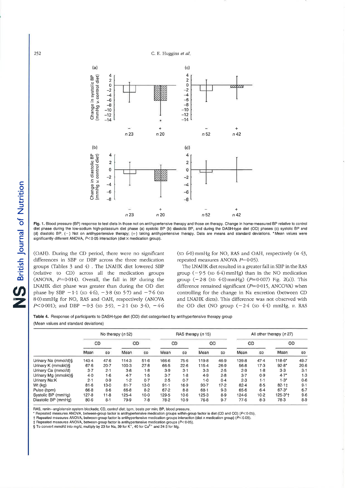#### C. E. Huggins et al.



Fig. 1. Blood pressure (BP) response to test diets in those not on antihypertensive therapy and those on therapy. Change in home-measured BP relative to control diet phase during the low-sodium high-potassium diet phase (a) systolic BP (b) diastolic BP, and during the DASH-type diet (OD) phases (c) systolic BP and (d) diastolic BP<sub>:</sub> (-) Not on antihypertensive therapy; (+) taking antihypertensive therapy. Data are means and standard deviations. \*Mean values were significantly different ANOVA,  $P < 0.05$  interaction (diet  $\times$  medication group).

(OAH). During the CD period, there were no significant differences in SBP or DBP across the three medication groups (Tables 3 and 4). The LNAHK diet lowered SBP (relative to CD) across all the medication groups (ANOVA,  $P=0.014$ ). Overall, the fall in BP during the LNAHK diet phase was greater than during the OD diet phase by SBP  $-1.1$  (sp 4.6),  $-3.8$  (sp 5.7) and  $-7.6$  (sp 8.0) mmHg for NO, RAS and OAH, respectively (ANOVA  $P<0.001$ ); and DBP -0.3 (sp 3.9), -2.1 (sp 3.4), -4.6 (sp 6.0) mmHg for NO, RAS and OAH, respectively (n 43, repeated measures ANOVA  $P=0.05$ ).

The LNAHK diet resulted in a greater fall in SBP in the RAS group  $(-9.5 \text{ (SD 6.4) mmHg})$  than in the NO medication group  $(-2.8 \text{ (s)} 4.0)$  mmHg)  $(P=0.007)$  Fig. 2(a)). This difference remained significant ( $P=0.015$ , ANCOVA) when controlling for the change in Na excretion (between CD and LNAHK diets). This difference was not observed with the OD diet (NO group  $(-2.4 \text{ (SD 4.4) mmHg}, v. RAS)$ 



|                      |          |        | No therapy (n 52) |        |       | RAS therapy $(n 15)$ |        | All other therapy $(n 27)$ |       |       |                      |          |
|----------------------|----------|--------|-------------------|--------|-------|----------------------|--------|----------------------------|-------|-------|----------------------|----------|
|                      | CD       |        | OD                |        | CD    |                      | OD     |                            | CD    |       | OD                   |          |
|                      | Mean     | SD     | Mean              | SD     | Mean  | SD                   | Mean   | SD                         | Mean  | SD.   | Mean                 | SD       |
| Urinary Na (mmol/d)§ | 143-4    | 47.6   | 114.3             | 51.6   | 166-6 | 75.6                 | 119-8  | 46.9                       | 139.8 | 47.4  | $118.6*$             | $49 - 7$ |
| Urinary K (mmol/d)§  | 67.6     | 20.7   | 100.3             | 27.8   | 66.5  | $22-6$               | 115.4  | 26.9                       | 56.8  | 17.3  | $92.8*$              | $20-6$   |
| Urinary Ca (mmol/d)  | $3-7$    | 2.1    | 3.8               | $1-8$  | 3.9   | $3-1$                | $3-3$  | $2-5$                      | 2.9   | $1-8$ | $3-3$                | 3:1      |
| Urinary Mg (mmol/d)§ | 4.0      | $1-6$  | 4.7               | $1-5$  | 3.7   | $1-8$                | 4.9    | 2.8                        | $3-7$ | 0.9   | $4.7*$               | $1-3$    |
| Urinary Na:K         | 2.1      | 0.9    | 1.2               | 0.7    | 2.5   | 0.7                  | $1-0$  | $0-4$                      | 2.3   | $1-1$ | $1.3^*$              | 0.6      |
| Wt (kg)              | $81 - 6$ | $13-0$ | $81 - 7$          | $13-0$ | 91.1  | $16-9$               | $90-7$ | 17.2                       | 82.4  | 8.5   | 82.11                | $9 - 1$  |
| Pulse (bpm)          | $66-8$   | $8-6$  | 66.8              | 8.2    | 67.2  | 8.8                  | $68-1$ | 9.3                        | 65.6  | 6.4   | $67.3*$              | $6 - 7$  |
| Systolic BP (mmHg)   | 127.8    | $11-8$ | $125 - 4$         | $10-0$ | 129-5 | $10-6$               | 125.3  | 8.9                        | 124.6 | 10.2  | $125.3$ <sup>*</sup> | 9.6      |
| Diastolic BP (mmHg)  | $80 - 6$ | 8.1    | 79.9              | $7-8$  | 78-2  | 10.9                 | 76.8   | 9.7                        | 77.6  | 83    | 78.3                 | $8 - 9$  |

RAS, renin-angiotensin system blockade; CD, control diet; bpm, beats per min; BP, blood pressure.

Repeated measures ANOVA, between group factor is antihypertensive medication groups within-group factor is diet (CD and OD) (P<0.05).

† Repeated measures ANOVA, between-group factor is antihypertensive medication groups interaction (diet x medication group) (P<0.05).

‡ Repeated measures ANOVA, between-group factor is antihypertensive medication groups ( $P < 0.05$ ).<br>§ To convert mmol/d into mg/d, multiply by 23 for Na, 39 for K<sup>+</sup>, 40 for Ca<sup>2+</sup> and 24-3 for Mg.

252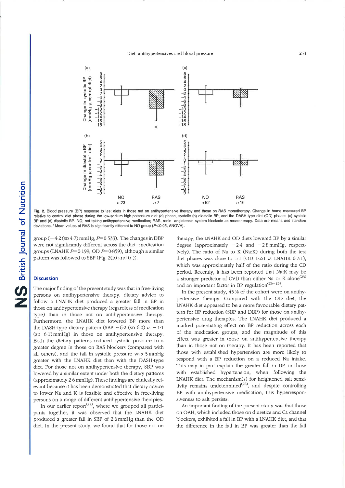Diet, antihypertensives and blood pressure



Fig. 2. Blood pressure (BP) response to lest diets in those not on antihypertensive therapy and those on RAS monotherapy. Change in home measured BP relative to control diet phase during the low-sodium high-potassium diet (a) phase, systolic (b) diastolic BP, and the DASH-type diet (OD) phases (c) systolic BP and (d) diastolic BP. NO, not taking antihypertensive medication; RAS, renin-angiotensin system blockade as monotherapy. Data are means and standard deviations. \* Mean values of RAS is significantly different to NO group (P<0.05, ANOVA).

group  $(-4.2$  (sp 4.7) mmHg,  $P=0.533$ ). The changes in DBP were not significantly different across the diet-medication groups (LNAHK  $P=0.199$ ; OD  $P=0.859$ ), although a similar pattern was followed to SBP (Fig. 2(b) and (d)).

## **Discussion**

The major finding of the present study was that in free-living persons on antihypertensive therapy, dietary advice to follow a LNAHK diet produced a greater fall in BP in those on antihypertensive therapy (regardless of medication type) than in those not on antihypertensive therapy. Furthermore, the LNAHK diet lowered BP more than the DASH-type dietary pattern (SBP  $-6.2$  (sD 6.0)  $v = 1.1$ (sp 6.1) mmHg) in those on antihypertensive therapy. Both the dietary patterns reduced systolic pressure to a greater degree in those on RAS blockers (compared with all others), and the fall in systolic pressure was 5 mmHg greater with the LNAHK diet than with the DASH-type diet. For those not on antihypertensive therapy, SBP was lowered by a similar extent under both the dietary patterns (approximately 2.6 mmHg). These findings are clinically relevant because it has been demonstrated that dietary advice to lower Na and K is feasible and effective in free-living persons on a range of different antihypertensive therapies.

In our earlier report<sup> $(22)$ </sup>, where we grouped all participants together, it was observed that the LNAHK diet produced a greater fall in SBP of 2.6 mmHg than the OD diet. In the present study, we found that for those not on therapy, the LNAHK and OD diets lowered BP by a similar degree (approximately  $-2.4$  and  $-2.8$  mmHg, respectively). The ratio of Na to K (Na:K) during both the test diet phases was close to 1:1 (OD 1.2:1  $v$ . LNAHK 0.7:1), which was approximately half of the ratio during the CD period. Recently, it has been reported that Na:K may be a stronger predictor of CVD than either Na or K alone<sup>(23)</sup> and an important factor in BP regulation<sup>(23-25)</sup>.

In the present study, 45% of the cohort were on antihypertensive therapy. Compared with the OD diet, the LNAHK diet appeared to be a more favourable dietary pattern for BP reduction (SBP and DBP) for those on antihypertensive drug therapies. The LNAHK diet produced a marked potentiating effect on BP reduction across each of the medication groups, and the magnitude of this effect was greater in those on antihypertensive therapy than in those not on therapy. It has been reported that those with established hypertension are more likely to respond with a BP reduction on a reduced Na intake. This may in part explain the greater fall in BP, in those with established hypertension, when following the LNAHK diet. The mechanism(s) for heightened salt sensitivity remains undetermined<sup> $(26)$ </sup>, and despite controlling BP with antihypertensive medication, this hyperresponsiveness to salt persists.

An important finding of the present study was that those on OAH, which included those on diuretics and Ca channel blockers, exhibited a fall in BP with a LNAHK diet, and that the difference in the fall in BP was greater than the fall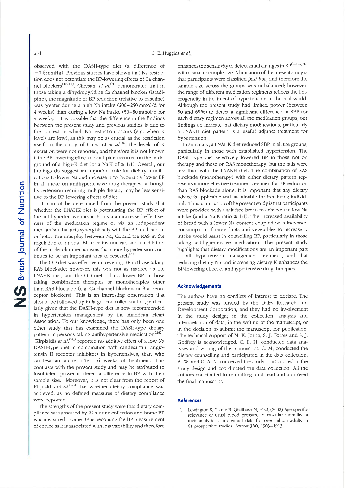observed with the DASH-type diet (a difference of  $-7.6$  mmHg). Previous studies have shown that Na restriction does not potentiate the BP-lowering effects of Ca channel blockers<sup>(16,17)</sup>. Chrysant et al.<sup>(8)</sup> demonstrated that in those taking a dihydropyridine Ca channel blocker (isradipine), the magnitude of BP reduction (relative to baseline) was greater during a high Na intake (200-250 mmol/d for 4 weeks) than during a low Na intake (50–80 mmol/d for 4 weeks). It is possible that the difference in the findings between the present study and previous studies is due to the context in which Na restriction occurs (e.g. when K levels are low), as this may be as crucial as the restriction itself. In the study of Chrysant et  $al^{(8)}$ , the levels of K excretion were not reported, and therefore it is not known if the BP-lowering effect of isradipine occurred on the background of a high-K diet (or a Na:K of  $\leq$  1:1). Overall, our findings do suggest an important role for dietary modifications to lower Na and increase K to favourably lower BP in all those on antihypertensive drug therapies, although hypertension requiring multiple therapy may be less sensitive to the BP-lowering effects of diet.

It cannot be determined from the present study that whether the LNAHK diet is potentiating the BP effect of the antihypertensive medication via an increased effectiveness of the medication regime or via an independent mechanism that acts synergistically with the BP medication. or both. The interplay between Na, Ca and the RAS in the regulation of arterial BP remains unclear, and elucidation of the molecular mechanisms that cause hypertension continues to be an important area of research $(27)$ .

The OD diet was effective in lowering BP in those taking RAS blockade; however, this was not as marked as the LNAHK diet, and the OD diet did not lower BP in those taking combination therapies or monotherapies other than RAS blockade (e.g. Ca channel blockers or β-adrenoceptor blockers). This is an interesting observation that should be followed up in larger controlled studies, particularly given that the DASH-type diet is now recommended in hypertension management by the American Heart Association. To our knowledge, there has only been one other study that has examined the DASH-type dietary pattern in persons taking antihypertensive medication<sup>(28)</sup>. Kirpizidis et al.<sup>(28)</sup> reported no additive effect of a low Na DASH-type diet in combination with candesartan (angiotensin II receptor inhibitor) in hypertensives, than with candesartan alone, after 16 weeks of treatment. This contrasts with the present study and may be attributed to insufficient power to detect a difference in BP with their sample size. Moreover, it is not clear from the report of Kirpizidis et  $al^{(28)}$  that whether dietary compliance was achieved, as no defined measures of dietary compliance were reported.

The strengths of the present study were that dietary compliance was assessed by 24h urine collection and home BP was measured. Home BP is becoming the BP measurement of choice as it is associated with less variability and therefore enhances the sensitivity to detect small changes in  $\text{BP}^{(22,29,30)}$ with a smaller sample size. A limitation of the present study is that participants were classified post hoc, and therefore the sample size across the groups was unbalanced; however, the range of different medication regimens reflects the heterogeneity in treatment of hypertension in the real world. Although the present study had limited power (between 50 and 65%) to detect a significant difference in SBP for each dietary regimen across all the medication groups, our findings do indicate that dietary modifications, particularly a LNAKH diet pattern is a useful adjunct treatment for hypertension.

In summary, a LNAHK diet reduced SBP in all the groups, particularly in those with established hypertension. The DASH-type diet selectively lowered BP in those not on therapy and those on RAS monotherapy, but the falls were less than with the LNAKH diet. The combination of RAS blockade (monotherapy) with either dietary pattern represents a more effective treatment regimen for BP reduction than RAS blockade alone. It is important that any dietary advice is applicable and sustainable for free-living individuals. Thus, a limitation of the present study is that participants were provided with a salt-free bread to achieve the low Na intake (and a Na:K ratio  $\leq$  1:1). The increased availability of bread with a lower Na content coupled with increased consumption of more fruits and vegetables to increase K intake would assist in controlling BP, particularly in those taking antihypertensive medication. The present study highlights that dietary modifications are an important part of all hypertension management regimens, and that reducing dietary Na and increasing dietary K enhances the BP-lowering effect of antihypertensive drug therapies.

#### **Acknowledgements**

The authors have no conflicts of interest to declare. The present study was funded by the Dairy Research and Development Corporation, and they had no involvement in the study design; in the collection, analysis and interpretation of data; in the writing of the manuscript; or in the decision to submit the manuscript for publication. The technical support of M. K. Jorna, S. J. Torres and S. J. Godfrey is acknowledged. C. E. H. conducted data analyses and writing of the manuscript. C. M. conducted the dietary counselling and participated in the data collection. A. W. and C. A. N. conceived the study, participated in the study design and coordinated the data collection. All the authors contributed to re-drafting, and read and approved the final manuscript.

#### **References**

Lewington S, Clarke R, Qizilbash N, et al. (2002) Age-specific  $1.$ relevance of usual blood pressure to vascular mortality: a meta-analysis of individual data for one million adults in 61 prospective studies. *Lancet* 360, 1903-1913.